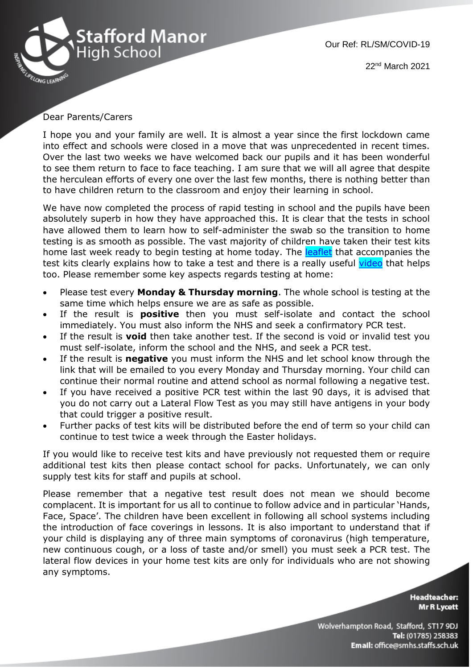

Our Ref: RL/SM/COVID-19 22nd March 2021

## Dear Parents/Carers

I hope you and your family are well. It is almost a year since the first lockdown came into effect and schools were closed in a move that was unprecedented in recent times. Over the last two weeks we have welcomed back our pupils and it has been wonderful to see them return to face to face teaching. I am sure that we will all agree that despite the herculean efforts of every one over the last few months, there is nothing better than to have children return to the classroom and enjoy their learning in school.

We have now completed the process of rapid testing in school and the pupils have been absolutely superb in how they have approached this. It is clear that the tests in school have allowed them to learn how to self-administer the swab so the transition to home testing is as smooth as possible. The vast majority of children have taken their test kits home last week ready to begin testing at home today. The **leaflet** that accompanies the test kits clearly explains how to take a test and there is a really useful [video](https://www.youtube.com/watch?v=S9XR8RZxKNo) that helps too. Please remember some key aspects regards testing at home:

- Please test every **Monday & Thursday morning**. The whole school is testing at the same time which helps ensure we are as safe as possible.
- If the result is **positive** then you must self-isolate and contact the school immediately. You must also inform the NHS and seek a confirmatory PCR test.
- If the result is **void** then take another test. If the second is void or invalid test you must self-isolate, inform the school and the NHS, and seek a PCR test.
- If the result is **negative** you must inform the NHS and let school know through the link that will be emailed to you every Monday and Thursday morning. Your child can continue their normal routine and attend school as normal following a negative test.
- If you have received a positive PCR test within the last 90 days, it is advised that you do not carry out a Lateral Flow Test as you may still have antigens in your body that could trigger a positive result.
- Further packs of test kits will be distributed before the end of term so your child can continue to test twice a week through the Easter holidays.

If you would like to receive test kits and have previously not requested them or require additional test kits then please contact school for packs. Unfortunately, we can only supply test kits for staff and pupils at school.

Please remember that a negative test result does not mean we should become complacent. It is important for us all to continue to follow advice and in particular 'Hands, Face, Space'. The children have been excellent in following all school systems including the introduction of face coverings in lessons. It is also important to understand that if your child is displaying any of three main symptoms of coronavirus (high temperature, new continuous cough, or a loss of taste and/or smell) you must seek a PCR test. The lateral flow devices in your home test kits are only for individuals who are not showing any symptoms.

> **Headteacher: Mr R Lycett**

Wolverhampton Road, Stafford, ST17 9DJ Tel: (01785) 258383 Email: office@smhs.staffs.sch.uk